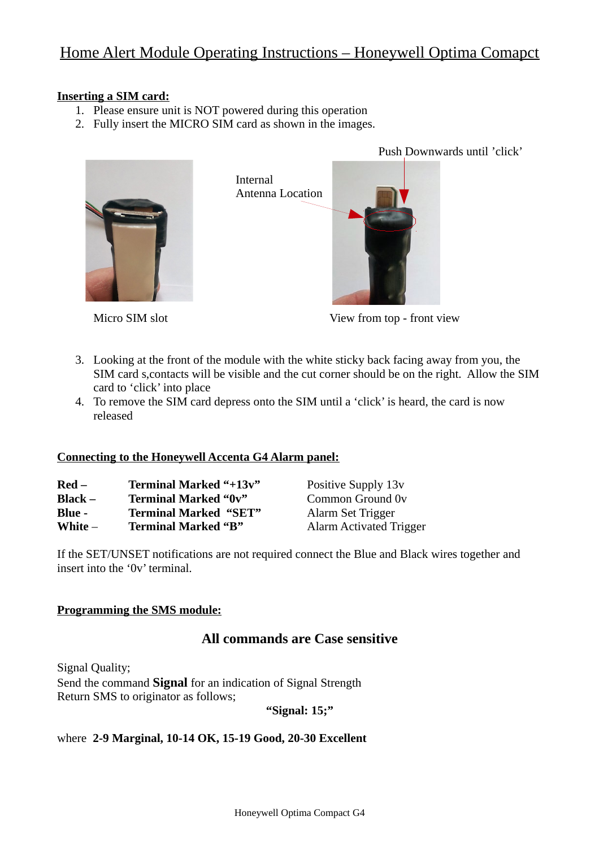# Home Alert Module Operating Instructions – Honeywell Optima Comapct

#### **Inserting a SIM card:**

- 1. Please ensure unit is NOT powered during this operation
- 2. Fully insert the MICRO SIM card as shown in the images.

Internal

Antenna Location



Micro SIM slot **View from top - front view** 

Push Downwards until 'click'

- 3. Looking at the front of the module with the white sticky back facing away from you, the SIM card s,contacts will be visible and the cut corner should be on the right. Allow the SIM card to 'click' into place
- 4. To remove the SIM card depress onto the SIM until a 'click' is heard, the card is now released

#### **Connecting to the Honeywell Accenta G4 Alarm panel:**

| Red –   | Terminal Marked "+13v"       | Positive Supply 13v     |
|---------|------------------------------|-------------------------|
| Black – | <b>Terminal Marked "0v"</b>  | Common Ground 0v        |
| Blue -  | <b>Terminal Marked "SET"</b> | Alarm Set Trigger       |
| White – | <b>Terminal Marked "B"</b>   | Alarm Activated Trigger |

If the SET/UNSET notifications are not required connect the Blue and Black wires together and insert into the '0v' terminal.

#### **Programming the SMS module:**

## **All commands are Case sensitive**

Signal Quality; Send the command **Signal** for an indication of Signal Strength Return SMS to originator as follows;

**"Signal: 15;"**

### where **2-9 Marginal, 10-14 OK, 15-19 Good, 20-30 Excellent**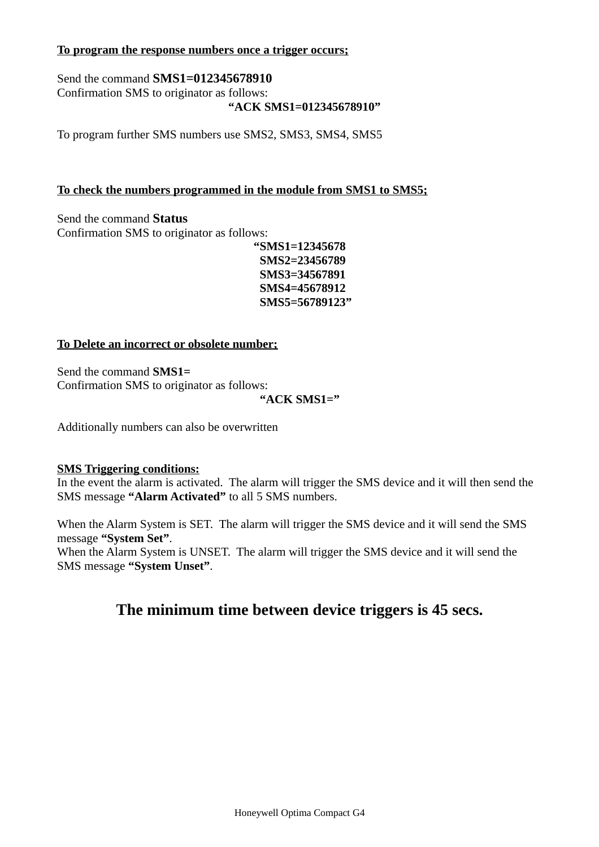### **To program the response numbers once a trigger occurs;**

Send the command **SMS1=012345678910** Confirmation SMS to originator as follows: **"ACK SMS1=012345678910"**

To program further SMS numbers use SMS2, SMS3, SMS4, SMS5

### **To check the numbers programmed in the module from SMS1 to SMS5;**

Send the command **Status** Confirmation SMS to originator as follows:

**"SMS1=12345678 SMS2=23456789 SMS3=34567891 SMS4=45678912 SMS5=56789123"**

#### **To Delete an incorrect or obsolete number;**

Send the command **SMS1=** Confirmation SMS to originator as follows:

**"ACK SMS1="**

Additionally numbers can also be overwritten

#### **SMS Triggering conditions:**

In the event the alarm is activated. The alarm will trigger the SMS device and it will then send the SMS message **"Alarm Activated"** to all 5 SMS numbers.

When the Alarm System is SET. The alarm will trigger the SMS device and it will send the SMS message **"System Set"**.

When the Alarm System is UNSET. The alarm will trigger the SMS device and it will send the SMS message **"System Unset"**.

# **The minimum time between device triggers is 45 secs.**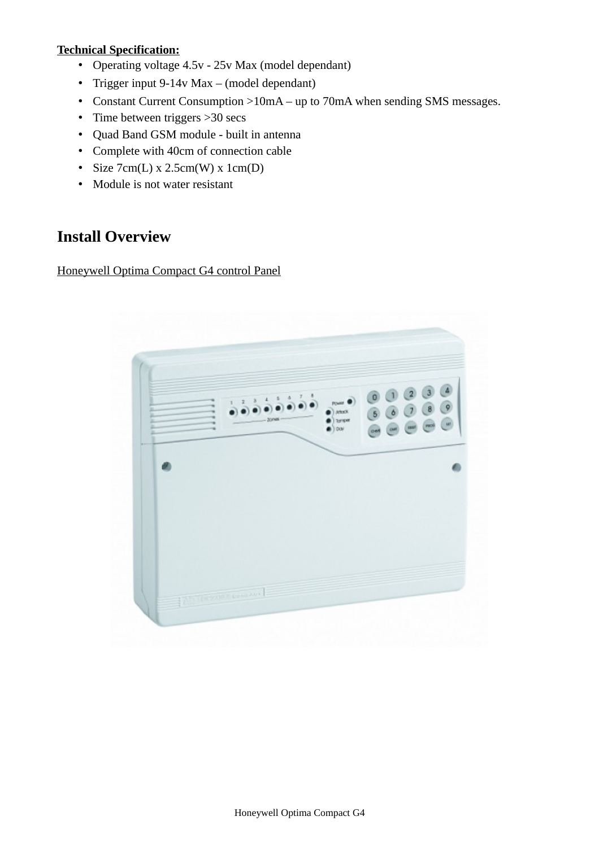## **Technical Specification:**

- Operating voltage 4.5v 25v Max (model dependant)
- Trigger input 9-14v Max (model dependant)
- Constant Current Consumption >10mA up to 70mA when sending SMS messages.
- Time between triggers > 30 secs
- Quad Band GSM module built in antenna
- Complete with 40cm of connection cable
- Size  $7cm(L) \times 2.5cm(W) \times 1cm(D)$
- Module is not water resistant

# **Install Overview**

Honeywell Optima Compact G4 control Panel